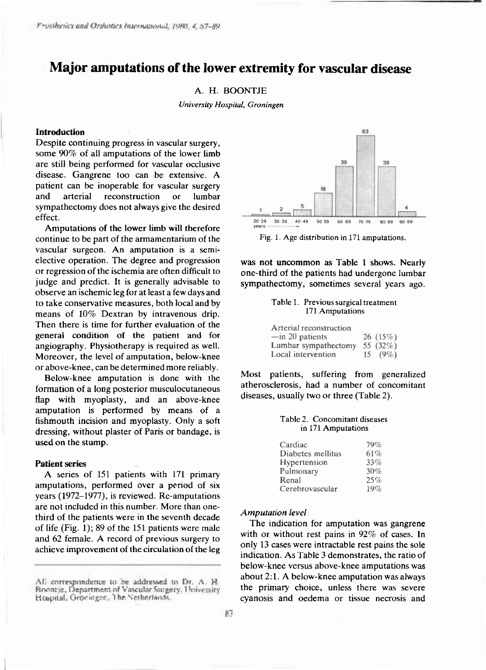# **Major amputations of the lower extremity for vascular disease**

## A. H. BOONTJE

*University Hospital, Groningen* 

## **Introduction**

Despite continuing progress in vascular surgery, some  $90\%$  of all amputations of the lower limb are still being performed for vascular occlusive disease. Gangrene too can be extensive. A patient can be inoperable for vascular surgery and arterial reconstruction or lumbar sympathectomy does not always give the desired effect.

Amputations of the lower limb will therefore continue to be part of the armamentarium of the vascular surgeon. An amputation is a semielective operation. The degree and progression or regression of the ischemia are often difficult to judge and predict. It is generally advisable to observe an ischemic leg for at least a few days and to take conservative measures, both local and by means of 10% Dextran by intravenous drip. Then there is time for further evaluation of the general condition of the patient and for angiography. Physiotherapy is required as well. Moreover, the level of amputation, below-knee or above-knee, can be determined more reliably.

Below-knee amputation is done with the formation of a long posterior musculocutaneous flap with myoplasty, and an above-knee amputation is performed by means of a fishmouth incision and myoplasty. Only a soft dressing, without plaster of Paris or bandage, is used on the stump.

## **Patient series**

A series of 151 patients with 171 primary amputations, performed over a period of six years  $(1972-1977)$ , is reviewed. Re-amputations are not included in this number. More than onethird of the patients were in the seventh decade of life (Fig. 1); 89 of the 151 patients were male and 62 female. A record of previous surgery to achieve improvement of the circulation of the leg



**Fig. 1. Age distribution in 171 amputations.** 

was not uncommon as Table 1 shows. Nearly one-third of the patients had undergone lumbar sympathectomy, sometimes several years ago.

## **Table** 1. **Previous surgical treatment**  171 **Amputations**

| Arterial reconstruction   |    |             |
|---------------------------|----|-------------|
| $-\text{in } 20$ patients |    | 26(15%)     |
| Lumbar sympathectomy      |    | 55 $(32\%)$ |
| Local intervention        | 15 | $(9\%)$     |

Most patients, suffering from generalized atherosclerosis, had a number of concomitant diseases, usually two or three (Table 2).

### **Table 2. Concomitant diseases in** 171 **Amputations**

| Cardiac           | 79% |
|-------------------|-----|
| Diabetes mellitus | 61% |
| Hypertension      | 33% |
| Pulmonary         | 30% |
| Renal             | 25% |
| Cerebrovascular   | 19% |

#### *Amputation level*

The indication for amputation was gangrene with or without rest pains in  $92\%$  of cases. In only 13 cases were intractable rest pains the sole indication. As Table 3 demonstrates, the ratio of below-knee versus above-knee amputations was about 2:1. A below-knee amputation was always the primary choice, unless there was severe cyanosis and oedema or tissue necrosis and

All correspondence to be addressed to Dr. A. H.<br>Boontje, Department of Vascular Sargery, University Hospital, Groningen, The Netherlands.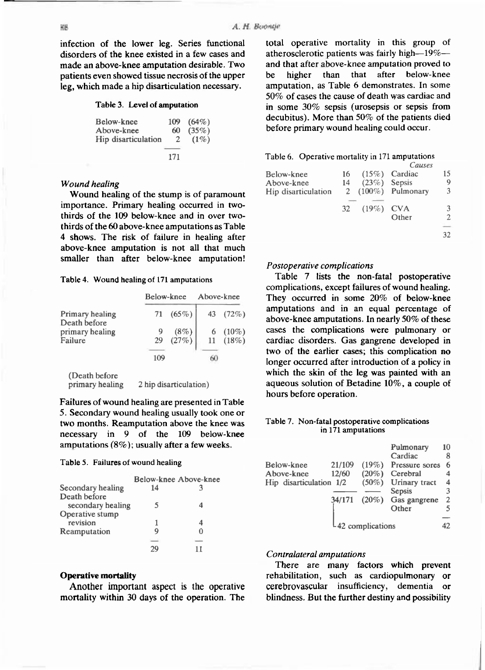infection of the lower leg. Series functional disorders of the knee existed in a few cases and made an above-knee amputation desirable. Two patients even showed tissue necrosis of the upper leg, which made a hip disarticulation necessary.

#### Table 3. Level of amputation

| Below-knee          | 109 | $(64\%)$ |
|---------------------|-----|----------|
| Above-knee          | 60  | $(35\%)$ |
| Hip disarticulation | 2   | $(1\%)$  |
|                     |     |          |
|                     | 171 |          |

## *Wound healing*

Wound healing of the stump is of paramount importance. Primary healing occurred in twothirds of the 109 below-knee and in over twothirds of the 60 above-knee amputations as Table 4 shows. The risk of failure in healing after above-knee amputation is not all that much smaller than after below-knee amputation!

## **Table 4. Wound healing of 171 amputations**

|                                 | Below-knee |                        | Above-knee |                          |
|---------------------------------|------------|------------------------|------------|--------------------------|
| Primary healing<br>Death before | 71         | $(65\%)$               |            | 43 $(72\%)$              |
| primary healing<br>Failure      | 29         | $\binom{(8\%)}{(27\%}$ |            | 6 $(10\%)$<br>$11(18\%)$ |
|                                 | 109        |                        | 60         |                          |

(Death before) primary healing 2 hip disarticulation)

Failures of wound healing are presented in Table 5. Secondary wound healing usually took one or two months. Reamputation above the knee was necessary in 9 of the 109 below-knee amputations  $(8\%)$ ; usually after a few weeks.

## **Table 5 . Failures of wound healing**

|                   |    | Below-knee Above-knee |
|-------------------|----|-----------------------|
| Secondary healing | 14 |                       |
| Death before      |    |                       |
| secondary healing |    |                       |
| Operative stump   |    |                       |
| revision          |    |                       |
| Reamputation      |    |                       |
|                   |    |                       |
|                   |    |                       |

## **Operativ e mortality**

Another important aspect is the operative mortality within 30 days of the operation. The total operative mortality in this group of atherosclerotic patients was fairly high-19%and that after above-knee amputation proved to be higher than that after below-knee amputation, as Table 6 demonstrates. In some  $50\%$  of cases the cause of death was cardiac and in some  $30\%$  sepsis (urosepsis or sepsis from decubitus). More than 50% of the patients died before primary wound healing could occur.

### **Table 6. Operative mortality in 171 amputations**

|                     |    |                | Causes                |    |
|---------------------|----|----------------|-----------------------|----|
| Below-knee          | 16 |                | $(15%)$ Cardiac       | 15 |
| Above-knee          | 14 | $(23%)$ Sepsis |                       | 9  |
| Hip disarticulation |    |                | 2 $(100\%)$ Pulmonary | 3  |
|                     | 32 | $(19\%)$ CVA   |                       | 3  |
|                     |    |                | Other                 | 2  |
|                     |    |                |                       |    |
|                     |    |                |                       | 32 |
|                     |    |                |                       |    |

## *Postoperative complications*

Table 7 lists the non-fatal postoperative complications, except failures of wound healing. They occurred in some  $20\%$  of below-knee amputations and in an equal percentage of above-knee amputations. In nearly 50% of these cases the complications were pulmonary or cardiac disorders. Gas gangrene developed in two of the earlier cases; this complication no longer occurred after introduction of a policy in which the skin of the leg was painted with an aqueous solution of Betadine  $10\%$ , a couple of hours before operation.

## **Table 7. Non-fatal postoperative complications in 171 amputations**

|                         |        |          | Pulmonary      | 10 |
|-------------------------|--------|----------|----------------|----|
|                         |        |          | Cardiac        | 8  |
| Below-knee              | 21/109 | $(19\%)$ | Pressure sores | 6  |
| Above-knee              | 12/60  | $(20\%)$ | Cerebral       | 4  |
| Hip disarticulation 1/2 |        | $(50\%)$ | Urinary tract  | 4  |
|                         |        |          | Sepsis         | 3  |
|                         | 34/171 | $(20\%)$ | Gas gangrene   | 2  |
|                         |        |          | Other          | 5  |
|                         |        |          |                |    |
| -42 complications       |        |          |                | 42 |

## *Contralateral amputations*

There are many factors which prevent rehabilitation, such as cardiopulmonary or cerebrovascular insufficiency, dementia or blindness. But the further destiny and possibility